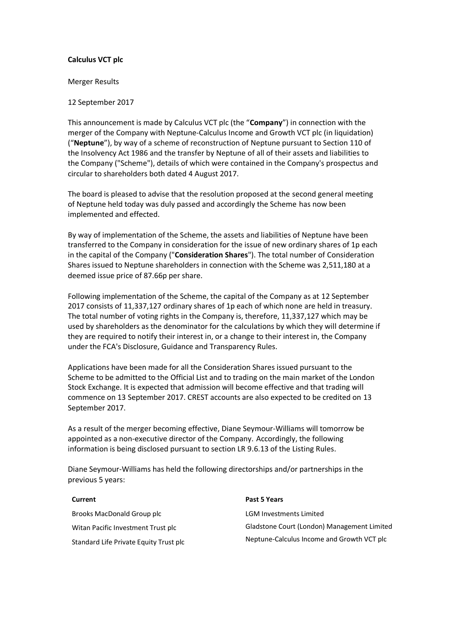# **Calculus VCT plc**

### Merger Results

# 12 September 2017

This announcement is made by Calculus VCT plc (the "**Company**") in connection with the merger of the Company with Neptune-Calculus Income and Growth VCT plc (in liquidation) ("**Neptune**"), by way of a scheme of reconstruction of Neptune pursuant to Section 110 of the Insolvency Act 1986 and the transfer by Neptune of all of their assets and liabilities to the Company ("Scheme"), details of which were contained in the Company's prospectus and circular to shareholders both dated 4 August 2017.

The board is pleased to advise that the resolution proposed at the second general meeting of Neptune held today was duly passed and accordingly the Scheme has now been implemented and effected.

By way of implementation of the Scheme, the assets and liabilities of Neptune have been transferred to the Company in consideration for the issue of new ordinary shares of 1p each in the capital of the Company ("**Consideration Shares**"). The total number of Consideration Shares issued to Neptune shareholders in connection with the Scheme was 2,511,180 at a deemed issue price of 87.66p per share.

Following implementation of the Scheme, the capital of the Company as at 12 September 2017 consists of 11,337,127 ordinary shares of 1p each of which none are held in treasury. The total number of voting rights in the Company is, therefore, 11,337,127 which may be used by shareholders as the denominator for the calculations by which they will determine if they are required to notify their interest in, or a change to their interest in, the Company under the FCA's Disclosure, Guidance and Transparency Rules.

Applications have been made for all the Consideration Shares issued pursuant to the Scheme to be admitted to the Official List and to trading on the main market of the London Stock Exchange. It is expected that admission will become effective and that trading will commence on 13 September 2017. CREST accounts are also expected to be credited on 13 September 2017.

As a result of the merger becoming effective, Diane Seymour-Williams will tomorrow be appointed as a non-executive director of the Company. Accordingly, the following information is being disclosed pursuant to section LR 9.6.13 of the Listing Rules.

Diane Seymour-Williams has held the following directorships and/or partnerships in the previous 5 years:

Brooks MacDonald Group plc Witan Pacific Investment Trust plc Standard Life Private Equity Trust plc

# **Current Past 5 Years**

LGM Investments Limited Gladstone Court (London) Management Limited Neptune-Calculus Income and Growth VCT plc